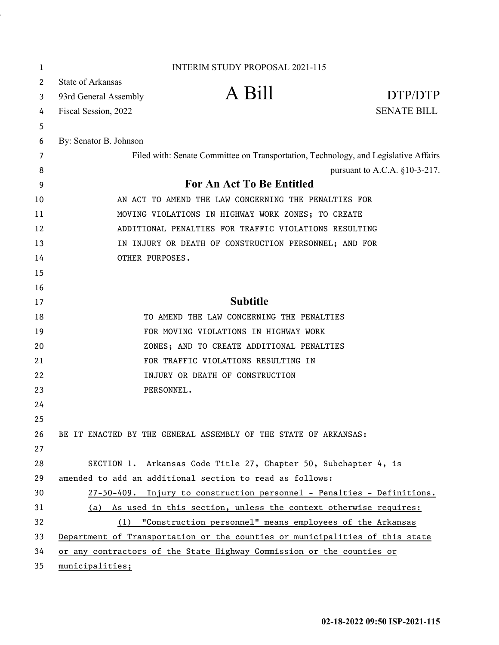| 1  | <b>INTERIM STUDY PROPOSAL 2021-115</b>                |                                                                                     |                                  |
|----|-------------------------------------------------------|-------------------------------------------------------------------------------------|----------------------------------|
| 2  | State of Arkansas                                     |                                                                                     |                                  |
| 3  | 93rd General Assembly                                 | A Bill                                                                              | DTP/DTP                          |
| 4  | Fiscal Session, 2022                                  |                                                                                     | <b>SENATE BILL</b>               |
| 5  |                                                       |                                                                                     |                                  |
| 6  | By: Senator B. Johnson                                |                                                                                     |                                  |
| 7  |                                                       | Filed with: Senate Committee on Transportation, Technology, and Legislative Affairs |                                  |
| 8  |                                                       |                                                                                     | pursuant to A.C.A. $§10-3-217$ . |
| 9  |                                                       | <b>For An Act To Be Entitled</b>                                                    |                                  |
| 10 | AN ACT TO AMEND THE LAW CONCERNING THE PENALTIES FOR  |                                                                                     |                                  |
| 11 | MOVING VIOLATIONS IN HIGHWAY WORK ZONES; TO CREATE    |                                                                                     |                                  |
| 12 | ADDITIONAL PENALTIES FOR TRAFFIC VIOLATIONS RESULTING |                                                                                     |                                  |
| 13 |                                                       | IN INJURY OR DEATH OF CONSTRUCTION PERSONNEL; AND FOR                               |                                  |
| 14 | OTHER PURPOSES.                                       |                                                                                     |                                  |
| 15 |                                                       |                                                                                     |                                  |
| 16 |                                                       |                                                                                     |                                  |
| 17 |                                                       | <b>Subtitle</b>                                                                     |                                  |
| 18 |                                                       | TO AMEND THE LAW CONCERNING THE PENALTIES                                           |                                  |
| 19 |                                                       | FOR MOVING VIOLATIONS IN HIGHWAY WORK                                               |                                  |
| 20 |                                                       | ZONES; AND TO CREATE ADDITIONAL PENALTIES                                           |                                  |
| 21 |                                                       | FOR TRAFFIC VIOLATIONS RESULTING IN                                                 |                                  |
| 22 |                                                       | INJURY OR DEATH OF CONSTRUCTION                                                     |                                  |
| 23 | PERSONNEL.                                            |                                                                                     |                                  |
| 24 |                                                       |                                                                                     |                                  |
| 25 |                                                       |                                                                                     |                                  |
| 26 |                                                       | BE IT ENACTED BY THE GENERAL ASSEMBLY OF THE STATE OF ARKANSAS:                     |                                  |
| 27 |                                                       |                                                                                     |                                  |
| 28 |                                                       | SECTION 1. Arkansas Code Title 27, Chapter 50, Subchapter 4, is                     |                                  |
| 29 |                                                       | amended to add an additional section to read as follows:                            |                                  |
| 30 |                                                       | 27-50-409. Injury to construction personnel - Penalties - Definitions.              |                                  |
| 31 |                                                       | (a) As used in this section, unless the context otherwise requires:                 |                                  |
| 32 |                                                       | (1) "Construction personnel" means employees of the Arkansas                        |                                  |
| 33 |                                                       | Department of Transportation or the counties or municipalities of this state        |                                  |
| 34 |                                                       | or any contractors of the State Highway Commission or the counties or               |                                  |
| 35 | municipalities;                                       |                                                                                     |                                  |

l,